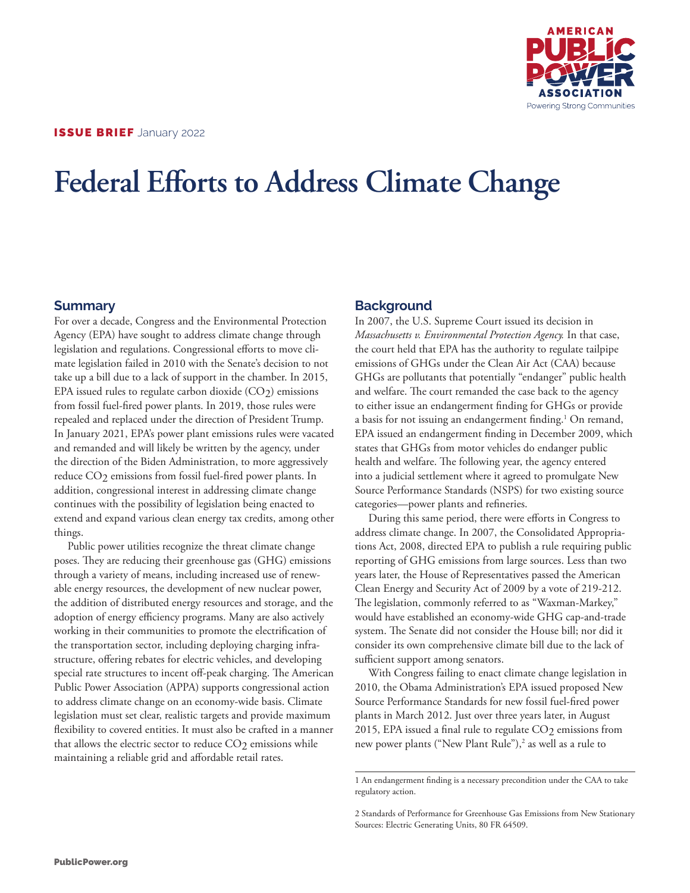

# **Federal Efforts to Address Climate Change**

# **Summary**

For over a decade, Congress and the Environmental Protection Agency (EPA) have sought to address climate change through legislation and regulations. Congressional efforts to move climate legislation failed in 2010 with the Senate's decision to not take up a bill due to a lack of support in the chamber. In 2015, EPA issued rules to regulate carbon dioxide (CO<sub>2</sub>) emissions from fossil fuel-fired power plants. In 2019, those rules were repealed and replaced under the direction of President Trump. In January 2021, EPA's power plant emissions rules were vacated and remanded and will likely be written by the agency, under the direction of the Biden Administration, to more aggressively reduce CO2 emissions from fossil fuel-fired power plants. In addition, congressional interest in addressing climate change continues with the possibility of legislation being enacted to extend and expand various clean energy tax credits, among other things.

Public power utilities recognize the threat climate change poses. They are reducing their greenhouse gas (GHG) emissions through a variety of means, including increased use of renewable energy resources, the development of new nuclear power, the addition of distributed energy resources and storage, and the adoption of energy efficiency programs. Many are also actively working in their communities to promote the electrification of the transportation sector, including deploying charging infrastructure, offering rebates for electric vehicles, and developing special rate structures to incent off-peak charging. The American Public Power Association (APPA) supports congressional action to address climate change on an economy-wide basis. Climate legislation must set clear, realistic targets and provide maximum flexibility to covered entities. It must also be crafted in a manner that allows the electric sector to reduce  $CO<sub>2</sub>$  emissions while maintaining a reliable grid and affordable retail rates.

# **Background**

In 2007, the U.S. Supreme Court issued its decision in *Massachusetts v. Environmental Protection Agency.* In that case, the court held that EPA has the authority to regulate tailpipe emissions of GHGs under the Clean Air Act (CAA) because GHGs are pollutants that potentially "endanger" public health and welfare. The court remanded the case back to the agency to either issue an endangerment finding for GHGs or provide a basis for not issuing an endangerment finding.<sup>1</sup> On remand, EPA issued an endangerment finding in December 2009, which states that GHGs from motor vehicles do endanger public health and welfare. The following year, the agency entered into a judicial settlement where it agreed to promulgate New Source Performance Standards (NSPS) for two existing source categories—power plants and refineries.

During this same period, there were efforts in Congress to address climate change. In 2007, the Consolidated Appropriations Act, 2008, directed EPA to publish a rule requiring public reporting of GHG emissions from large sources. Less than two years later, the House of Representatives passed the American Clean Energy and Security Act of 2009 by a vote of 219-212. The legislation, commonly referred to as "Waxman-Markey," would have established an economy-wide GHG cap-and-trade system. The Senate did not consider the House bill; nor did it consider its own comprehensive climate bill due to the lack of sufficient support among senators.

With Congress failing to enact climate change legislation in 2010, the Obama Administration's EPA issued proposed New Source Performance Standards for new fossil fuel-fired power plants in March 2012. Just over three years later, in August 2015, EPA issued a final rule to regulate  $CO<sub>2</sub>$  emissions from new power plants ("New Plant Rule"),<sup>2</sup> as well as a rule to

<sup>1</sup> An endangerment finding is a necessary precondition under the CAA to take regulatory action.

<sup>2</sup> Standards of Performance for Greenhouse Gas Emissions from New Stationary Sources: Electric Generating Units, 80 FR 64509.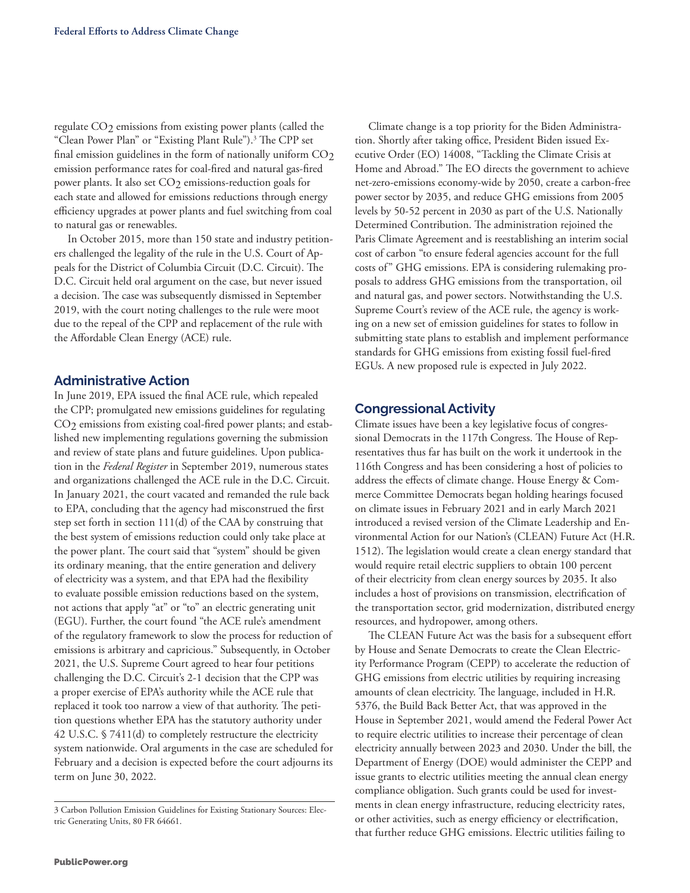regulate CO<sub>2</sub> emissions from existing power plants (called the "Clean Power Plan" or "Existing Plant Rule").<sup>3</sup> The CPP set final emission guidelines in the form of nationally uniform CO2 emission performance rates for coal-fired and natural gas-fired power plants. It also set CO<sub>2</sub> emissions-reduction goals for each state and allowed for emissions reductions through energy efficiency upgrades at power plants and fuel switching from coal to natural gas or renewables.

In October 2015, more than 150 state and industry petitioners challenged the legality of the rule in the U.S. Court of Appeals for the District of Columbia Circuit (D.C. Circuit). The D.C. Circuit held oral argument on the case, but never issued a decision. The case was subsequently dismissed in September 2019, with the court noting challenges to the rule were moot due to the repeal of the CPP and replacement of the rule with the Affordable Clean Energy (ACE) rule.

#### **Administrative Action**

In June 2019, EPA issued the final ACE rule, which repealed the CPP; promulgated new emissions guidelines for regulating CO2 emissions from existing coal-fired power plants; and established new implementing regulations governing the submission and review of state plans and future guidelines. Upon publication in the *Federal Register* in September 2019, numerous states and organizations challenged the ACE rule in the D.C. Circuit. In January 2021, the court vacated and remanded the rule back to EPA, concluding that the agency had misconstrued the first step set forth in section 111(d) of the CAA by construing that the best system of emissions reduction could only take place at the power plant. The court said that "system" should be given its ordinary meaning, that the entire generation and delivery of electricity was a system, and that EPA had the flexibility to evaluate possible emission reductions based on the system, not actions that apply "at" or "to" an electric generating unit (EGU). Further, the court found "the ACE rule's amendment of the regulatory framework to slow the process for reduction of emissions is arbitrary and capricious." Subsequently, in October 2021, the U.S. Supreme Court agreed to hear four petitions challenging the D.C. Circuit's 2-1 decision that the CPP was a proper exercise of EPA's authority while the ACE rule that replaced it took too narrow a view of that authority. The petition questions whether EPA has the statutory authority under 42 U.S.C. § 7411(d) to completely restructure the electricity system nationwide. Oral arguments in the case are scheduled for February and a decision is expected before the court adjourns its term on June 30, 2022.

Climate change is a top priority for the Biden Administration. Shortly after taking office, President Biden issued Executive Order (EO) 14008, "Tackling the Climate Crisis at Home and Abroad." The EO directs the government to achieve net-zero-emissions economy-wide by 2050, create a carbon-free power sector by 2035, and reduce GHG emissions from 2005 levels by 50-52 percent in 2030 as part of the U.S. Nationally Determined Contribution. The administration rejoined the Paris Climate Agreement and is reestablishing an interim social cost of carbon "to ensure federal agencies account for the full costs of" GHG emissions. EPA is considering rulemaking proposals to address GHG emissions from the transportation, oil and natural gas, and power sectors. Notwithstanding the U.S. Supreme Court's review of the ACE rule, the agency is working on a new set of emission guidelines for states to follow in submitting state plans to establish and implement performance standards for GHG emissions from existing fossil fuel-fired EGUs. A new proposed rule is expected in July 2022.

## **Congressional Activity**

Climate issues have been a key legislative focus of congressional Democrats in the 117th Congress. The House of Representatives thus far has built on the work it undertook in the 116th Congress and has been considering a host of policies to address the effects of climate change. House Energy & Commerce Committee Democrats began holding hearings focused on climate issues in February 2021 and in early March 2021 introduced a revised version of the Climate Leadership and Environmental Action for our Nation's (CLEAN) Future Act (H.R. 1512). The legislation would create a clean energy standard that would require retail electric suppliers to obtain 100 percent of their electricity from clean energy sources by 2035. It also includes a host of provisions on transmission, electrification of the transportation sector, grid modernization, distributed energy resources, and hydropower, among others.

The CLEAN Future Act was the basis for a subsequent effort by House and Senate Democrats to create the Clean Electricity Performance Program (CEPP) to accelerate the reduction of GHG emissions from electric utilities by requiring increasing amounts of clean electricity. The language, included in H.R. 5376, the Build Back Better Act, that was approved in the House in September 2021, would amend the Federal Power Act to require electric utilities to increase their percentage of clean electricity annually between 2023 and 2030. Under the bill, the Department of Energy (DOE) would administer the CEPP and issue grants to electric utilities meeting the annual clean energy compliance obligation. Such grants could be used for investments in clean energy infrastructure, reducing electricity rates, or other activities, such as energy efficiency or electrification, that further reduce GHG emissions. Electric utilities failing to

<sup>3</sup> Carbon Pollution Emission Guidelines for Existing Stationary Sources: Electric Generating Units, 80 FR 64661.